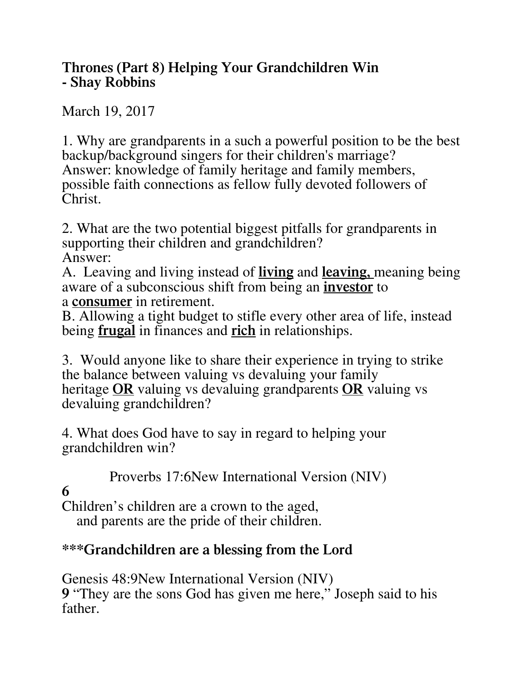### **Thrones (Part 8) Helping Your Grandchildren Win - Shay Robbins**

March 19, 2017

1. Why are grandparents in a such a powerful position to be the best backup/background singers for their children's marriage? Answer: knowledge of family heritage and family members, possible faith connections as fellow fully devoted followers of Christ.

2. What are the two potential biggest pitfalls for grandparents in supporting their children and grandchildren? Answer:

A. Leaving and living instead of **living** and **leaving,** meaning being aware of a subconscious shift from being an **investor** to a **consumer** in retirement.

B. Allowing a tight budget to stifle every other area of life, instead being **frugal** in finances and **rich** in relationships.

3. Would anyone like to share their experience in trying to strike the balance between valuing vs devaluing your family heritage **OR** valuing vs devaluing grandparents **OR** valuing vs devaluing grandchildren?

4. What does God have to say in regard to helping your grandchildren win?

Proverbs 17:6New International Version (NIV)

# **6**

Children's children are a crown to the aged, and parents are the pride of their children.

## **\*\*\*Grandchildren are a blessing from the Lord**

Genesis 48:9New International Version (NIV) **9** "They are the sons God has given me here," Joseph said to his father.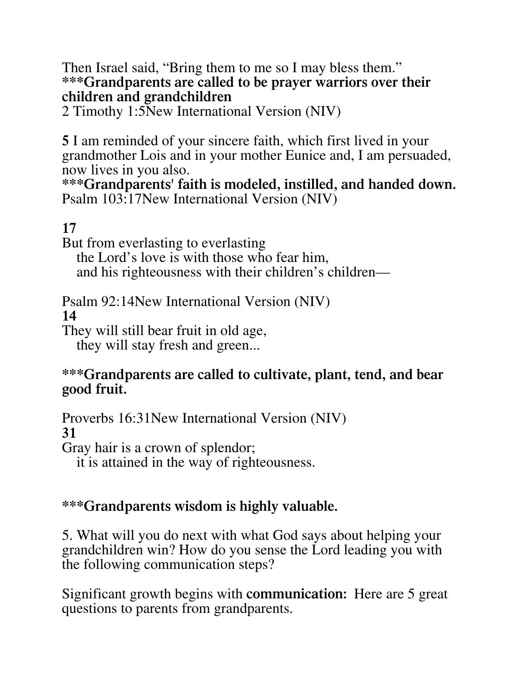Then Israel said, "Bring them to me so I may bless them." **\*\*\*Grandparents are called to be prayer warriors over their children and grandchildren**

2 Timothy 1:5New International Version (NIV)

**5** I am reminded of your sincere faith, which first lived in your grandmother Lois and in your mother Eunice and, I am persuaded, now lives in you also.

**\*\*\*Grandparents' faith is modeled, instilled, and handed down.**  Psalm 103:17New International Version (NIV)

# **17**

But from everlasting to everlasting

 the Lord's love is with those who fear him, and his righteousness with their children's children—

Psalm 92:14New International Version (NIV) **14** 

They will still bear fruit in old age,

they will stay fresh and green...

### **\*\*\*Grandparents are called to cultivate, plant, tend, and bear good fruit.**

Proverbs 16:31New International Version (NIV)

### **31**

Gray hair is a crown of splendor;

it is attained in the way of righteousness.

### **\*\*\*Grandparents wisdom is highly valuable.**

5. What will you do next with what God says about helping your grandchildren win? How do you sense the Lord leading you with the following communication steps?

Significant growth begins with **communication:** Here are 5 great questions to parents from grandparents.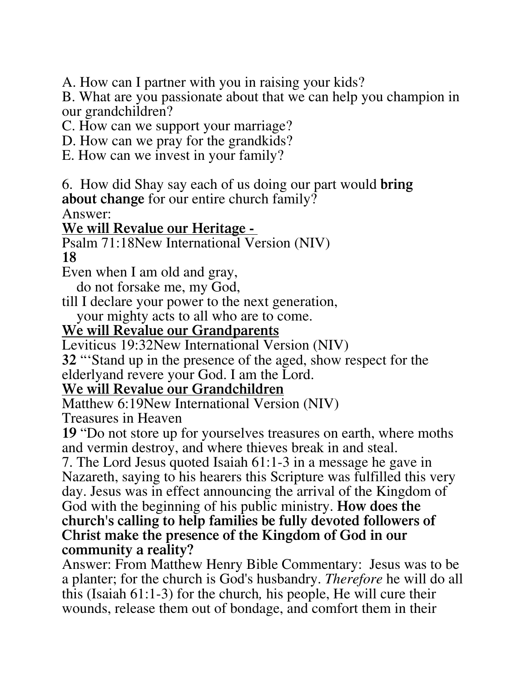A. How can I partner with you in raising your kids?

B. What are you passionate about that we can help you champion in our grandchildren?

C. How can we support your marriage?

- D. How can we pray for the grandkids?
- E. How can we invest in your family?

6. How did Shay say each of us doing our part would **bring about change** for our entire church family?

Answer:

### **We will Revalue our Heritage -**

Psalm 71:18New International Version (NIV) **18** 

Even when I am old and gray,

do not forsake me, my God,

till I declare your power to the next generation,

your mighty acts to all who are to come.

#### **We will Revalue our Grandparents**

Leviticus 19:32New International Version (NIV)

**32** "'Stand up in the presence of the aged, show respect for the elderlyand revere your God. I am the Lord.

#### **We will Revalue our Grandchildren**

Matthew 6:19New International Version (NIV)

Treasures in Heaven

**19** "Do not store up for yourselves treasures on earth, where moths and vermin destroy, and where thieves break in and steal.

7. The Lord Jesus quoted Isaiah 61:1-3 in a message he gave in Nazareth, saying to his hearers this Scripture was fulfilled this very day. Jesus was in effect announcing the arrival of the Kingdom of God with the beginning of his public ministry. **How does the church's calling to help families be fully devoted followers of Christ make the presence of the Kingdom of God in our community a reality?**

Answer: From Matthew Henry Bible Commentary: Jesus was to be a planter; for the church is God's husbandry. *Therefore* he will do all this (Isaiah 61:1-3) for the church*,* his people, He will cure their wounds, release them out of bondage, and comfort them in their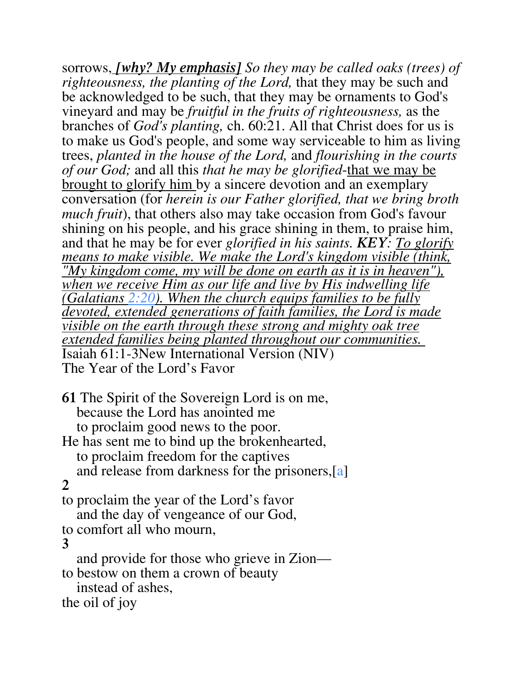sorrows, *[why? My emphasis] So they may be called oaks (trees) of righteousness, the planting of the Lord,* that they may be such and be acknowledged to be such, that they may be ornaments to God's vineyard and may be *fruitful in the fruits of righteousness,* as the branches of *God's planting,* ch. 60:21. All that Christ does for us is to make us God's people, and some way serviceable to him as living trees, *planted in the house of the Lord,* and *flourishing in the courts of our God;* and all this *that he may be glorified*-that we may be brought to glorify him by a sincere devotion and an exemplary conversation (for *herein is our Father glorified, that we bring broth much fruit*), that others also may take occasion from God's favour shining on his people, and his grace shining in them, to praise him, and that he may be for ever *glorified in his saints. KEY: To glorify means to make visible. We make the Lord's kingdom visible (think, "My kingdom come, my will be done on earth as it is in heaven"), when we receive Him as our life and live by His indwelling life (Galatians [2:20](x-apple-data-detectors://3)). When the church equips families to be fully devoted, extended generations of faith families, the Lord is made visible on the earth through these strong and mighty oak tree extended families being planted throughout our communities.*  Isaiah 61:1-3New International Version (NIV) The Year of the Lord's Favor

**61** The Spirit of the Sovereign Lord is on me, because the Lord has anointed me to proclaim good news to the poor. He has sent me to bind up the brokenhearted,

to proclaim freedom for the captives

and release from darkness for the prisoners,[[a](https://www.biblegateway.com/passage/?search=Isaiah+61%3A1-3&version=NIV#fen-NIV-18845a)]

## $\overline{2}$

to proclaim the year of the Lord's favor and the day of vengeance of our God, to comfort all who mourn,

#### **3**

 and provide for those who grieve in Zion to bestow on them a crown of beauty instead of ashes, the oil of joy